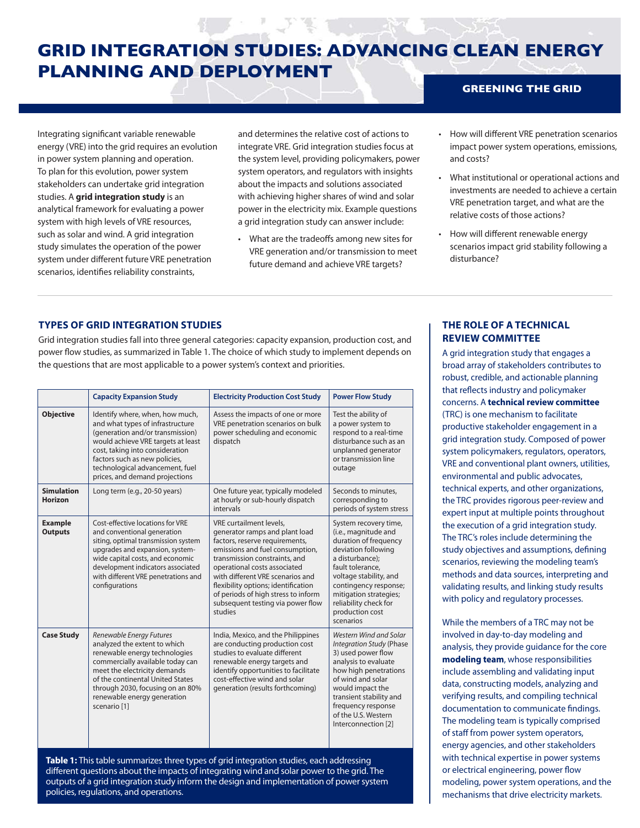# **GREENING THE GRID GRID INTEGRATION STUDIES: ADVANCING CLEAN ENERGY PLANNING AND DEPLOYMENT**

Integrating significant variable renewable energy (VRE) into the grid requires an evolution in power system planning and operation. To plan for this evolution, power system stakeholders can undertake grid integration studies. A **grid integration study** is an analytical framework for evaluating a power system with high levels of VRE resources, such as solar and wind. A grid integration study simulates the operation of the power system under different future VRE penetration scenarios, identifies reliability constraints,

and determines the relative cost of actions to integrate VRE. Grid integration studies focus at the system level, providing policymakers, power system operators, and regulators with insights about the impacts and solutions associated with achieving higher shares of wind and solar power in the electricity mix. Example questions a grid integration study can answer include:

- What are the tradeoffs among new sites for VRE generation and/or transmission to meet future demand and achieve VRE targets?
- How will different VRE penetration scenarios impact power system operations, emissions, and costs?
- What institutional or operational actions and investments are needed to achieve a certain VRE penetration target, and what are the relative costs of those actions?
- How will different renewable energy scenarios impact grid stability following a disturbance?

# **TYPES OF GRID INTEGRATION STUDIES**

Grid integration studies fall into three general categories: capacity expansion, production cost, and power flow studies, as summarized in Table 1. The choice of which study to implement depends on the questions that are most applicable to a power system's context and priorities.

|                                  | <b>Capacity Expansion Study</b>                                                                                                                                                                                                                                                        | <b>Electricity Production Cost Study</b>                                                                                                                                                                                                                                                                                                                          | <b>Power Flow Study</b>                                                                                                                                                                                                                                                    |
|----------------------------------|----------------------------------------------------------------------------------------------------------------------------------------------------------------------------------------------------------------------------------------------------------------------------------------|-------------------------------------------------------------------------------------------------------------------------------------------------------------------------------------------------------------------------------------------------------------------------------------------------------------------------------------------------------------------|----------------------------------------------------------------------------------------------------------------------------------------------------------------------------------------------------------------------------------------------------------------------------|
| <b>Objective</b>                 | Identify where, when, how much,<br>and what types of infrastructure<br>(generation and/or transmission)<br>would achieve VRE targets at least<br>cost, taking into consideration<br>factors such as new policies,<br>technological advancement, fuel<br>prices, and demand projections | Assess the impacts of one or more<br>VRE penetration scenarios on bulk<br>power scheduling and economic<br>dispatch                                                                                                                                                                                                                                               | Test the ability of<br>a power system to<br>respond to a real-time<br>disturbance such as an<br>unplanned generator<br>or transmission line<br>outage                                                                                                                      |
| <b>Simulation</b><br>Horizon     | Long term (e.g., 20-50 years)                                                                                                                                                                                                                                                          | One future year, typically modeled<br>at hourly or sub-hourly dispatch<br>intervals                                                                                                                                                                                                                                                                               | Seconds to minutes.<br>corresponding to<br>periods of system stress                                                                                                                                                                                                        |
| <b>Example</b><br><b>Outputs</b> | Cost-effective locations for VRE<br>and conventional generation<br>siting, optimal transmission system<br>upgrades and expansion, system-<br>wide capital costs, and economic<br>development indicators associated<br>with different VRE penetrations and<br>configurations            | VRE curtailment levels,<br>generator ramps and plant load<br>factors, reserve requirements,<br>emissions and fuel consumption,<br>transmission constraints, and<br>operational costs associated<br>with different VRE scenarios and<br>flexibility options; identification<br>of periods of high stress to inform<br>subsequent testing via power flow<br>studies | System recovery time,<br>(i.e., magnitude and<br>duration of frequency<br>deviation following<br>a disturbance);<br>fault tolerance,<br>voltage stability, and<br>contingency response;<br>mitigation strategies;<br>reliability check for<br>production cost<br>scenarios |
| <b>Case Study</b>                | Renewable Energy Futures<br>analyzed the extent to which<br>renewable energy technologies<br>commercially available today can<br>meet the electricity demands<br>of the continental United States<br>through 2030, focusing on an 80%<br>renewable energy generation<br>scenario [1]   | India, Mexico, and the Philippines<br>are conducting production cost<br>studies to evaluate different<br>renewable energy targets and<br>identify opportunities to facilitate<br>cost-effective wind and solar<br>generation (results forthcoming)                                                                                                                | Western Wind and Solar<br><b>Integration Study (Phase</b><br>3) used power flow<br>analysis to evaluate<br>how high penetrations<br>of wind and solar<br>would impact the<br>transient stability and<br>frequency response<br>of the U.S. Western<br>Interconnection [2]   |

**Table 1:** This table summarizes three types of grid integration studies, each addressing different questions about the impacts of integrating wind and solar power to the grid. The outputs of a grid integration study inform the design and implementation of power system policies, regulations, and operations.

## **THE ROLE OF A TECHNICAL REVIEW COMMITTEE**

A grid integration study that engages a broad array of stakeholders contributes to robust, credible, and actionable planning that reflects industry and policymaker concerns. A **technical review committee** (TRC) is one mechanism to facilitate productive stakeholder engagement in a grid integration study. Composed of power system policymakers, regulators, operators, VRE and conventional plant owners, utilities, environmental and public advocates, technical experts, and other organizations, the TRC provides rigorous peer-review and expert input at multiple points throughout the execution of a grid integration study. The TRC's roles include determining the study objectives and assumptions, defining scenarios, reviewing the modeling team's methods and data sources, interpreting and validating results, and linking study results with policy and regulatory processes.

While the members of a TRC may not be involved in day-to-day modeling and analysis, they provide guidance for the core **modeling team**, whose responsibilities include assembling and validating input data, constructing models, analyzing and verifying results, and compiling technical documentation to communicate findings. The modeling team is typically comprised of staff from power system operators, energy agencies, and other stakeholders with technical expertise in power systems or electrical engineering, power flow modeling, power system operations, and the mechanisms that drive electricity markets.